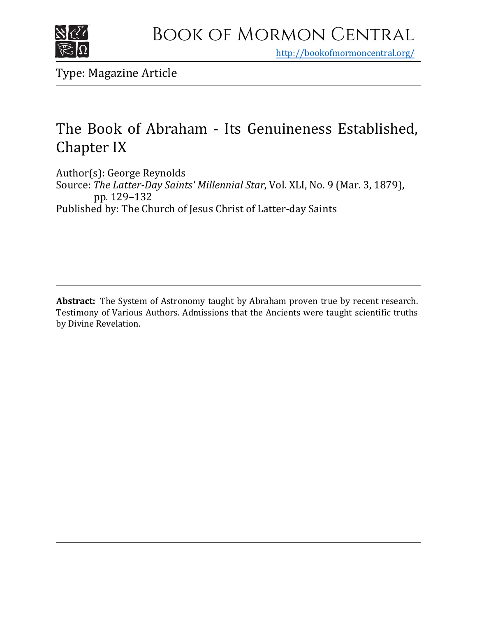

<http://bookofmormoncentral.org/>

Type: Magazine Article

## The Book of Abraham - Its Genuineness Established, Chapter IX

Author(s): George Reynolds Source: *The Latter-Day Saints' Millennial Star*, Vol. XLI, No. 9 (Mar. 3, 1879), pp. 129–132 Published by: The Church of Jesus Christ of Latter-day Saints

**Abstract:** The System of Astronomy taught by Abraham proven true by recent research. Testimony of Various Authors. Admissions that the Ancients were taught scientific truths by Divine Revelation.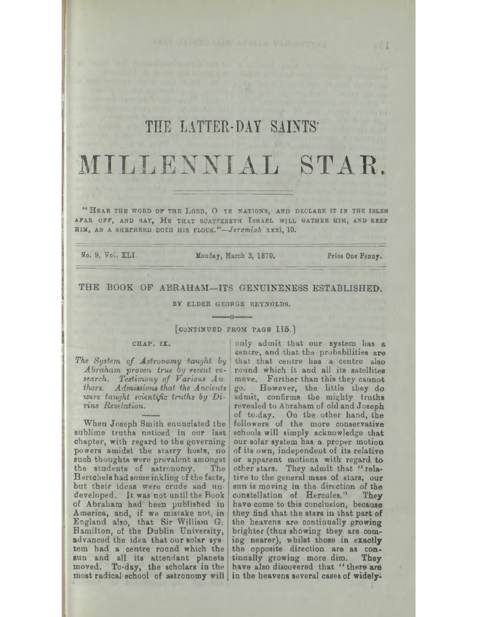# THE LATTER-DAY SAINTS' MILLENNIAL STAR.

"HEAR THE WORD OF THE LORD, O YE NATIONS, AND DECLARE IT IN THE ISLES AFAR OFF, AND SAY, HE THAT SCATTERETH ISRAEL WILL GATHER HIM, AND KEEP HIM, AS A SHEPHERD DOTH HIS FLOCK."-Jeremiah xxxi, 10.

No. 9, Vol. XLI.

Monday, March 3, 1879. Price One Penny.

## THE BOOK OF ABRAHAM-ITS GENUINENESS ESTABLISHED.

BY ELDER GEORGE REYNOLDS. <u> Andrew Communication and the Communication of the Communication of the Communication of the Communication of</u>

## [CONTINUED FROM PAGE 115.]

## CHAP. IX.

Abraham proven true by recent re-<br>search. Testimony of Various Authors. Admissions that the Ancients were taught scientific truths by Divine Revelation.

When Joseph Smith enunciated the sublime truths noticed in our last chapter, with regard to the governing powers amidst the starry hosts, no such thoughts were prevalent amongst the students of astronomy. The Herechels had some inkling of the facts, but their ideas were crude and undeveloped. It was not until the Book of Abraham had been published in America, and, if we mistake not, in England also, that Sir William G.<br>Hamilton, of the Dublin University, advanced the idea that our solar system had a centre round which the sun and all its attendant planets tinually growing more dim. They moved. To-day, the scholars in the have also discovered that "there are most radical school of astronomy will in the heavens several cases of widely-

only admit that our system has a centre, and that the probabilities are The System of Astronomy taught by that that centre has a centre also round which it and all its satellites move. Further than this they cannot go. However, the little they do admit, confirms the mighty truths revealed to Abraham of old and Joseph of to-day. On the other hand, the followers of the more conservative schools will simply acknowledge that our solar system has a proper motion of its own, independent of its relative or apparent motions with regard to other stars. They admit that "relative to the general mass of stars, our sun is moving in the direction of the constellation of Hercules." They have come to this conclusion, because they find that the stars in that part of the heavens are continually growing brighter (thus showing they are coming nearer), whilst those in exactly the opposite direction are as con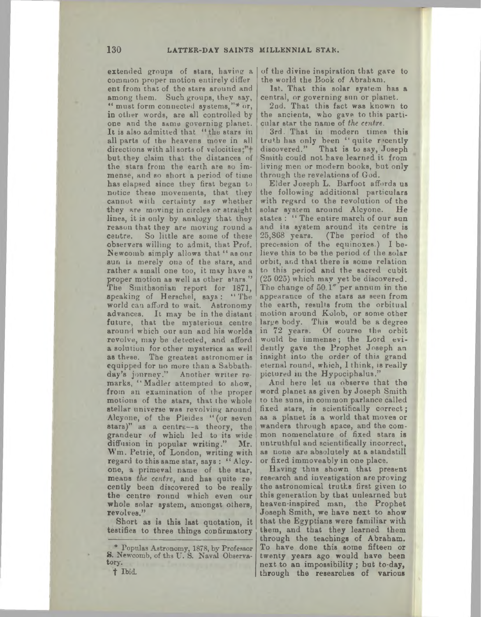extended groups of stars, having a common proper motion entirely differ ent from that of the stars around and among them. Such groups, they say, " must form connected systems,"[\\*](#page-2-0) or, in other words, are all controlled by one and the same governing planet. It is also admitted that "the stars in all parts of the heavens move in all directions with all sorts of velocities;"+ but they claim that the distances of the stars from the earth are so immense, and so short a period of time has elapsed since they first began to notice these movements, that they cannot with certainty say whether they are moving in circles or straight lines, it is only by analogy that they reason that they are moving round a centre. So little are some of these observers willing to admit, that Prof. Newcomb simply allows that "as our sun is merely one of the stars, and rather a small one too, it may have a proper motion as well as other stars." The Smithsonian report for 1871, speaking of Herschel, says: "The world can afford to wait. Astronomy advances. It may be in the distant future, that the mysterious centre around which our sun and his worlds revolve, may be detected, and afford a solution for other mysteries as well as these. The greatest astronomer is equipped for no more than a Sabbath day's journey." Another writer remarks, "Madler attempted to show, from an examination of the proper motions of the stars, that the whole stellar universe was revolving around Alcyone, of the Pleides "(or seven stars)" as a centre—a theory, the grandeur of which led to its wide diffusion in popular writing." Mr. Wm. Petrie, of London, writing with regard to this same star, says : "Alcyone, a primeval name of the star, means the centre, and has quite re cently been discovered to be really the centre round which even our whole solar system, amongst others, revolves."

Short as is this last quotation, it testifies to three things confirmatory

*t* Ibid.

of the divine inspiration that gave to the world the Book of Abraham.

1st. That this solar system has a central, or governing sun or planet.

2od. That this fact was known to the ancients, who gave to this particular star the name of *the centre.*

3rd. That in modern times this truth has only been " quite recently discovered." That is to say, Joseph Smith could not have learned it from living men or modern books, but only through the revelations of God.

Elder Joseph L. Barfoot affords us the following additional particulars with regard io the revolution of the solar system around Alcyone. He states : " The entire march of our sun and its system around its centre is 25,368 years. (The period of the precession of the equinoxes.) I believe this to be the period of the solar orbit, and that there is some relation to this period and the sacred cubit (25 025) which may yet be discovered. The change of 50 *1" per* annum in the appearance of the stars as seen from the earth, results from the orbitual motion around Kolob, or some other large body. This would be a degree in 72 years. Of course the orbit would be immense; the Lord evidently gave the Prophet Joseph an insight into the order of this grand eternal round, which, I think, is really pictured in the Hypociphalus."

And here let us observe that the word planet as given by Joseph Smith to the suna, in common parlance called fixed Btars, is scientifically correct; as a planet is a world that moves or wanders through space, and the common nomenclature of fixed stars is untruthful and scientifically incorrect, as none are absolutely at a standstill or fixed immoveably in one place.

Having thus shown that present research and investigation are proving the astronomical truths first given to this generation by that unlearned but heaven-inspired man, the Prophet Joseph Smith, we have next to show that the Egyptians were familiar with them, and that they learned them through the teachings of Abraham. To have done this some fifteen or twenty years ago would have been next to an impossibility; but to-day, through the researches of various

<span id="page-2-0"></span><sup>\*</sup> Populas Astronomy, 1878, by' Professor S. Newcomb, of ths U. S. Naval Observatory.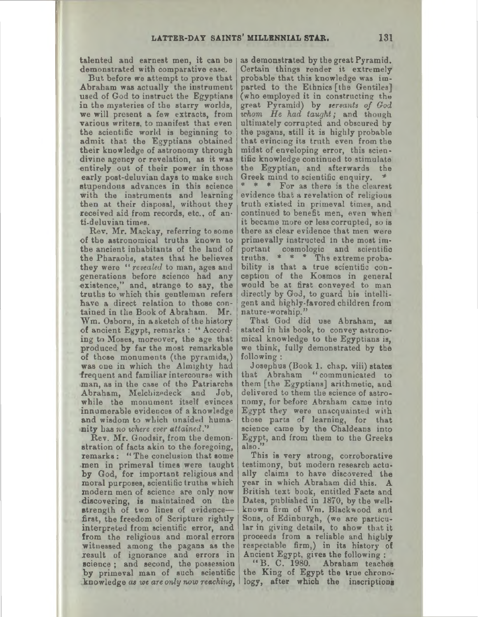talented and earnest men, it can be demonstrated with comparative ease.

But before we attempt to prove that Abraham was actually the instrument used of God to instruct the Egyptians in the mysteries of the starry worlds, we will present a few extracts, from various writers, to manifest that even the scientific world is beginning to admit that the Egyptians obtained their knowledge of astronomy through divine agency or revelation, as it was entirely out of their power in those early post-deluvian days to make such stupendous advances in this science with the instruments and learning then at their disposal, without they received aid from records, etc., of anti-deluvian times.

Rev. Mr. Mackay, referring to some of the astronomical truths known to the ancient inhabitants of the land of the Pharaohs, states that he believes they were *"revealed* to man, ages and generations before science had any existence," and, strange to say, the truths to which thia gentleman refers have a direct relation to those contained in the Book of Abraham. Mr. Wm. Osborn, in asketch of the history of ancient Egypt, remarks : " According to Moses, moreover, the age that produced by far the most remarkable of those monuments (the pyramids,) was one in which the Almighty had frequent and familiar intercourse with man, as in the case of the Patriarchs Abraham, Melchizedeck and Job, while the monument itself evinces innumerable evidences of a knowledge and wisdom to which unaided humanity has *no where ever attained.' \**

Rev. Mr. Goodsir, from the demonstration of facts akin to the foregoing, remarks : "The conclusion that some men in primeval times were taught by God, for important religious and moral purposes, scientific truths which modern men of science are only now -discovering, is maintained on the strength of two lines of evidence first, the freedom of Scripture rightly interpreted from scientific error, and from the religious and moral errors witnessed among the pagans as the result of ignorance and errors in science; and second, the possession by primeval man of such scientific knowledge *at we are only now reaching,*

as demonstrated by the great Pyramid. Certain things render it extremely probable that this knowledge was imparted to the Ethnics [the Gentiles] (who employed it in constructing the great Pyramid) by *tervants of God whom He had taught;* and though ultimately corrupted and obscured by the pagans, still it is highly probable that evincing its truth even from the midst of enveloping error, this scientific knowledge continued to stimulate the Egyptian, and afterwards the Greek mind to scientific enquiry.

 $* * *$  For as there is the clearest evidence that a revelation of religious truth existed in primeval times, and continued to benefit men, even when it became more or less corrupted, so is there as clear evidence that men were primevally instructed in the most important cosmologic and scientific truths. \* \* \* Ths extreme probability is that a true scientific conception of the Kosmos in general would be at first conveyed to man directly by God, to guard his intelligent and highly-favored children from nature-worship."

That God did use Abraham, as stated in bis book, to convey astronomical knowledge to the Egyptians is, we think, fully demonstrated by the following :

Josephus (Book 1. chap. viii) states that Abraham "communicated to them [the Egyptians] arithmetic, and delivered to them the science of astronomy, for before Abraham came into Egypt they were unacquainted with those parts of learning, for that science came by the Chaldeans into Egypt, and from them to the Greeks also."

This is very strong, corroborative testimony, but modern research actually claims to have discovered the year in which Abraham did this. A British text book, entitled Facta and Dates, published in 1870, by the wellknown firm of Wm. Blackwood and Sons, of Edinburgh, (we are particular in giving details, to show that it proceeds from a reliable and highly respectable firm,) in its history of

Ancient Egypt, gives the following : "B. C. 1980. Abraham teaches the King of Egypt the true chronology, after which the inscriptions